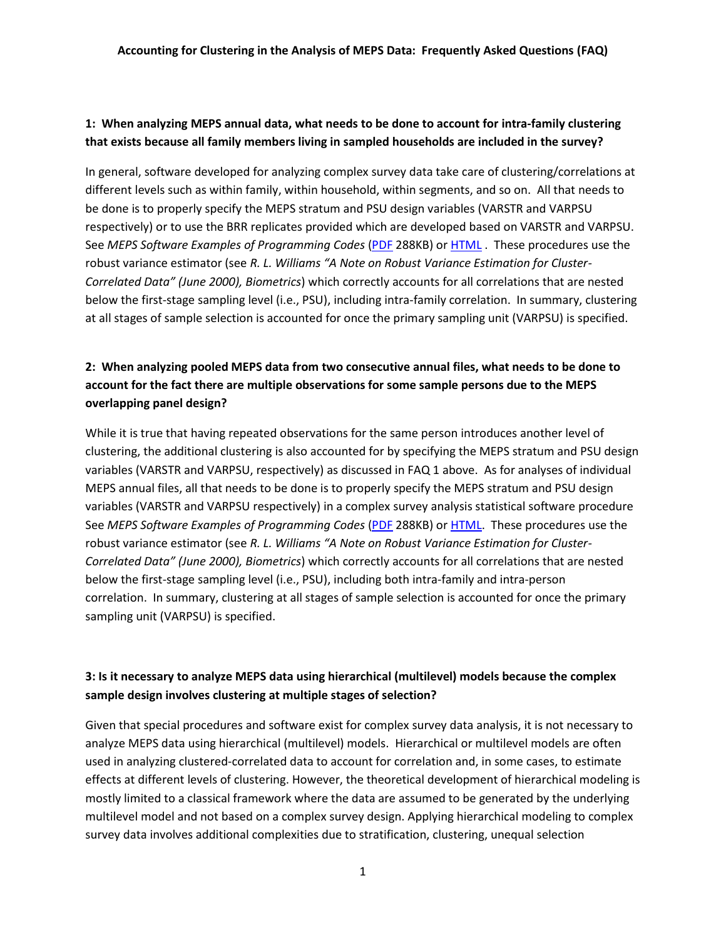## **1: When analyzing MEPS annual data, what needs to be done to account for intra-family clustering that exists because all family members living in sampled households are included in the survey?**

In general, software developed for analyzing complex survey data take care of clustering/correlations at different levels such as within family, within household, within segments, and so on. All that needs to be done is to properly specify the MEPS stratum and PSU design variables (VARSTR and VARPSU respectively) or to use the BRR replicates provided which are developed based on VARSTR and VARPSU. See *MEPS Software Examples of Programming Codes* [\(PDF](http://meps.ahrq.gov/mepsweb/survey_comp/hc_samplecodes_se.pdf) 288KB) or **HTML**. These procedures use the robust variance estimator (see *R. L. Williams "A Note on Robust Variance Estimation for Cluster-Correlated Data" (June 2000), Biometrics*) which correctly accounts for all correlations that are nested below the first-stage sampling level (i.e., PSU), including intra-family correlation. In summary, clustering at all stages of sample selection is accounted for once the primary sampling unit (VARPSU) is specified.

## **2: When analyzing pooled MEPS data from two consecutive annual files, what needs to be done to account for the fact there are multiple observations for some sample persons due to the MEPS overlapping panel design?**

While it is true that having repeated observations for the same person introduces another level of clustering, the additional clustering is also accounted for by specifying the MEPS stratum and PSU design variables (VARSTR and VARPSU, respectively) as discussed in FAQ 1 above. As for analyses of individual MEPS annual files, all that needs to be done is to properly specify the MEPS stratum and PSU design variables (VARSTR and VARPSU respectively) in a complex survey analysis statistical software procedure See *MEPS Software Examples of Programming Codes* [\(PDF](http://meps.ahrq.gov/mepsweb/survey_comp/hc_samplecodes_se.pdf) 288KB) or [HTML.](http://meps.ahrq.gov/mepsweb/survey_comp/hc_samplecodes_se.shtml) These procedures use the robust variance estimator (see *R. L. Williams "A Note on Robust Variance Estimation for Cluster-Correlated Data" (June 2000), Biometrics*) which correctly accounts for all correlations that are nested below the first-stage sampling level (i.e., PSU), including both intra-family and intra-person correlation. In summary, clustering at all stages of sample selection is accounted for once the primary sampling unit (VARPSU) is specified.

## **3: Is it necessary to analyze MEPS data using hierarchical (multilevel) models because the complex sample design involves clustering at multiple stages of selection?**

Given that special procedures and software exist for complex survey data analysis, it is not necessary to analyze MEPS data using hierarchical (multilevel) models. Hierarchical or multilevel models are often used in analyzing clustered-correlated data to account for correlation and, in some cases, to estimate effects at different levels of clustering. However, the theoretical development of hierarchical modeling is mostly limited to a classical framework where the data are assumed to be generated by the underlying multilevel model and not based on a complex survey design. Applying hierarchical modeling to complex survey data involves additional complexities due to stratification, clustering, unequal selection